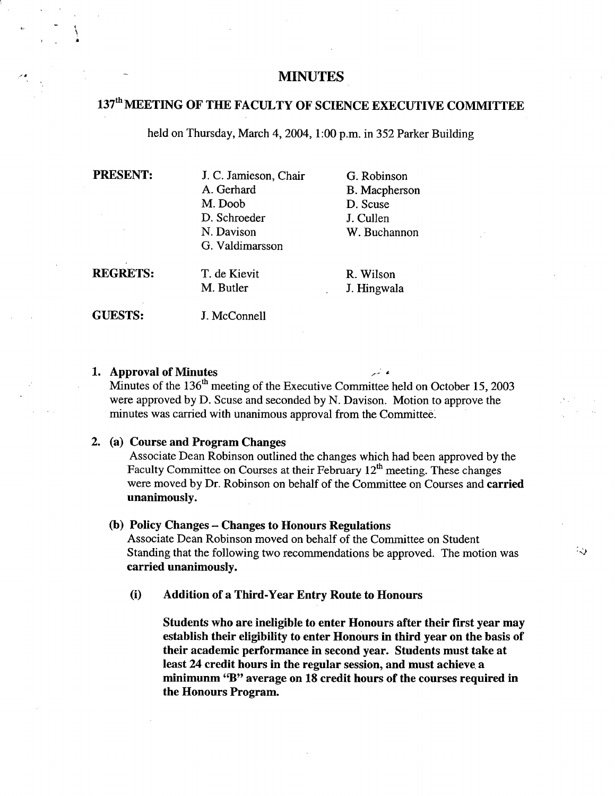# **MINUTES**

# 137th **MEETING OF THE FACULTY OF SCIENCE EXECUTIVE COMMITTEE**

held on Thursday, March 4, 2004, 1:00 p.m. in 352 Parker Building

**I** 

PRESENT: J. C. Jamieson, Chair G. Robinson A. Gerhard B. Macpherson M. Doob D. Scuse D. Schroeder J. Cullen Davison W. Buchannon G. Valdimarsson

**REGRETS:** T. de Kievit R. Wilson

M. Butler J. Hingwala

55

**GUESTS:** J. McConnell

### **Approval of Minutes**

Minutes of the 136<sup>th</sup> meeting of the Executive Committee held on October 15, 2003 were approved by D. Scuse and seconded by N. Davison. Motion to approve the minutes was carried with unanimous approval from the Committee

## **(a) Course and Program Changes**

Associate Dean Robinson outlined the changes which had been approved by the Faculty Committee on Courses at their February 12<sup>th</sup> meeting. These changes were moved by Dr. Robinson on behalf of the Committee on Courses and **carried unanimously.** 

#### **(b) Policy Changes - Changes to Honours Regulations**

Associate Dean Robinson moved on behalf of the Committee on Student Standing that the following two recommendations be approved. The motion was **carried unanimously.** 

**(i) Addition of a Third-Year Entry Route to Honours** 

**Students who are ineligible to enter Honours after their first year may establish their eligibility to enter Honours in third year on the basis of their academic performance in second year. Students must take at least 24 credit hours in the regular session, and must achieve, a minimunm "B" average on 18 credit hours of the courses required in the Honours Program.**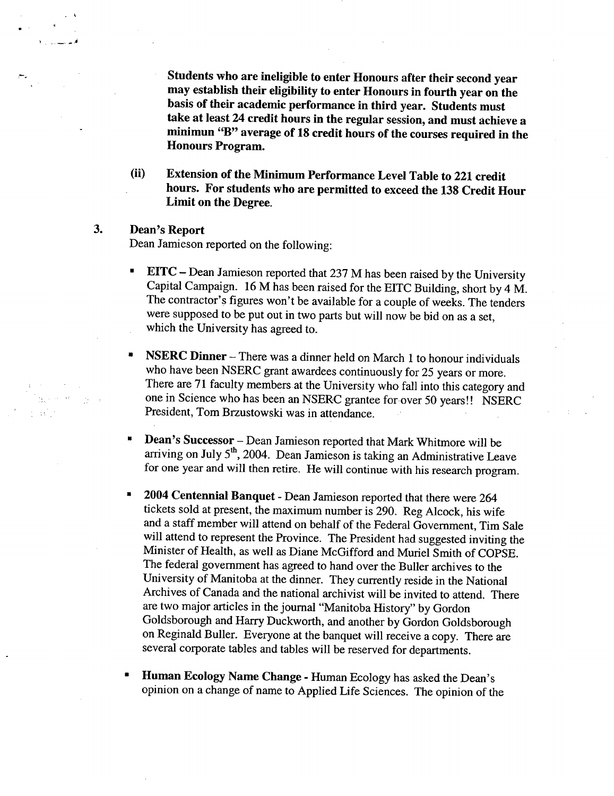**Students who are ineligible to enter Honours after their second year may establish their eligibility to enter Honours in fourth year on the basis of their academic performance in third year. Students must take at least 24 credit hours in the regular session, and must achieve a minimun "B" average of 18 credit hours of the courses required in the Honours Program.** 

**(ii) Extension of the Minimum Performance Level Table to 221 credit hours. For students who are permitted to exceed the 138 Credit Hour Limit on the Degree.** 

## 3. **Dean's Report**

-

partir<br>D

Dean Jamieson reported on the following:

- EITC Dean Jamieson reported that 237 M has been raised by the University Capital Campaign. 16 M has been raised for the EITC Building, short by 4 M. The contractor's figures won't be available for a couple of weeks. The tenders were supposed to be put out in two parts but will now be bid on as a set, which the University has agreed to.
- **NSERC Dinner** There was a dinner held on March 1 to honour individuals who have been NSERC grant awardees continuously for 25 years or more. There are 71 faculty members at the University who fall into this category and one in Science who has been an NSERC grantee for-over 50 years!! NSERC President, Tom Brzustowski was in attendance.
- $\blacksquare$ **Dean's Successor** - Dean Jamieson reported that Mark Whitmore will be arriving on July 5<sup>th</sup>, 2004. Dean Jamieson is taking an Administrative Leave for one year and will then retire. He will continue with his research program.
- **2004 Centennial Banquet**  Dean Jamieson reported that there were 264 tickets sold at present, the maximum number is 290. Reg Alcock, his wife and a staff member will attend on behalf of the Federal Government, Tim Sale will attend to represent the Province. The President had suggested inviting the Minister of Health, as well as Diane McGifford and Muriel Smith of COPSE. The federal government has agreed to hand over the Buller archives to the University of Manitoba at the dinner. They currently reside in the National Archives of Canada and the national archivist will be invited to attend. There are two major articles in the journal "Manitoba History" by Gordon Goldsborough and Harry Duckworth, and another by Gordon Goldsborough on Reginald Buller. Everyone at the banquet will receive a copy. There are several corporate tables and tables will be reserved for departments.
- **Human Ecology Name Change**  Human Ecology has asked the Dean's opinion on a change of name to Applied Life Sciences. The opinion of the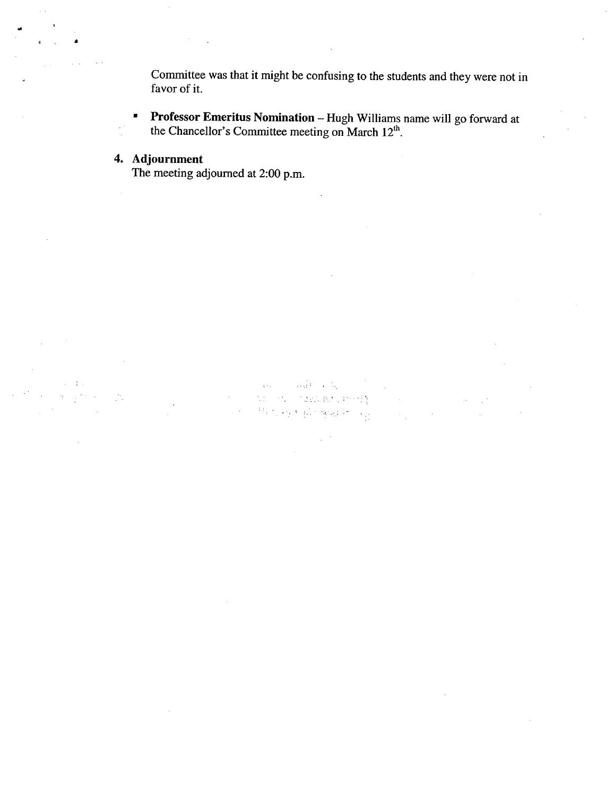Committee was that it might be confusing to the students and they were not in favor of it.

**Professor Emeritus Nomination** - Hugh Williams name will go forward at the Chancellor's Committee meeting on March  $12<sup>th</sup>$ .

 $\sim 10$ 

the strip

 $\epsilon = \mathbb{E}_{\mathbf{q}_1}$ 

Tagli Bacchini (S)  $\mathcal{H}_{\mathcal{O}}(\mathcal{O})$  and  $\mathcal{O}(\mathcal{O})$  and  $\mathcal{H}_{\mathcal{O}}(\mathcal{O})$ 

 $\mathcal{L}_{\mathrm{eff}}$ 

# **4. Adjournment**

The meeting adjourned at 2:00 p.m.